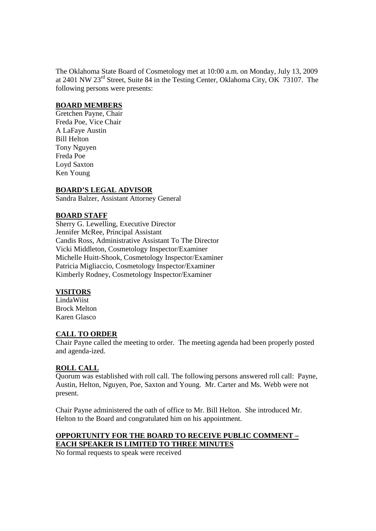The Oklahoma State Board of Cosmetology met at 10:00 a.m. on Monday, July 13, 2009 at 2401 NW 23rd Street, Suite 84 in the Testing Center, Oklahoma City, OK 73107. The following persons were presents:

## **BOARD MEMBERS**

Gretchen Payne, Chair Freda Poe, Vice Chair A LaFaye Austin Bill Helton Tony Nguyen Freda Poe Loyd Saxton Ken Young

## **BOARD'S LEGAL ADVISOR**

Sandra Balzer, Assistant Attorney General

## **BOARD STAFF**

Sherry G. Lewelling, Executive Director Jennifer McRee, Principal Assistant Candis Ross, Administrative Assistant To The Director Vicki Middleton, Cosmetology Inspector/Examiner Michelle Huitt-Shook, Cosmetology Inspector/Examiner Patricia Migliaccio, Cosmetology Inspector/Examiner Kimberly Rodney, Cosmetology Inspector/Examiner

## **VISITORS**

LindaWiist Brock Melton Karen Glasco

## **CALL TO ORDER**

Chair Payne called the meeting to order. The meeting agenda had been properly posted and agenda-ized.

## **ROLL CALL**

Quorum was established with roll call. The following persons answered roll call: Payne, Austin, Helton, Nguyen, Poe, Saxton and Young. Mr. Carter and Ms. Webb were not present.

Chair Payne administered the oath of office to Mr. Bill Helton. She introduced Mr. Helton to the Board and congratulated him on his appointment.

# **OPPORTUNITY FOR THE BOARD TO RECEIVE PUBLIC COMMENT – EACH SPEAKER IS LIMITED TO THREE MINUTES**

No formal requests to speak were received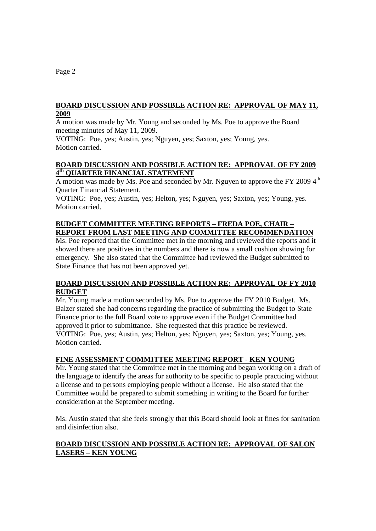## **BOARD DISCUSSION AND POSSIBLE ACTION RE: APPROVAL OF MAY 11, 2009**

A motion was made by Mr. Young and seconded by Ms. Poe to approve the Board meeting minutes of May 11, 2009.

VOTING: Poe, yes; Austin, yes; Nguyen, yes; Saxton, yes; Young, yes. Motion carried.

## **BOARD DISCUSSION AND POSSIBLE ACTION RE: APPROVAL OF FY 2009 4th QUARTER FINANCIAL STATEMENT**

A motion was made by Ms. Poe and seconded by Mr. Nguyen to approve the FY 2009  $4<sup>th</sup>$ Quarter Financial Statement.

VOTING: Poe, yes; Austin, yes; Helton, yes; Nguyen, yes; Saxton, yes; Young, yes. Motion carried.

# **BUDGET COMMITTEE MEETING REPORTS – FREDA POE, CHAIR – REPORT FROM LAST MEETING AND COMMITTEE RECOMMENDATION**

Ms. Poe reported that the Committee met in the morning and reviewed the reports and it showed there are positives in the numbers and there is now a small cushion showing for emergency. She also stated that the Committee had reviewed the Budget submitted to State Finance that has not been approved yet.

# **BOARD DISCUSSION AND POSSIBLE ACTION RE: APPROVAL OF FY 2010 BUDGET**

Mr. Young made a motion seconded by Ms. Poe to approve the FY 2010 Budget. Ms. Balzer stated she had concerns regarding the practice of submitting the Budget to State Finance prior to the full Board vote to approve even if the Budget Committee had approved it prior to submittance. She requested that this practice be reviewed. VOTING: Poe, yes; Austin, yes; Helton, yes; Nguyen, yes; Saxton, yes; Young, yes. Motion carried.

# **FINE ASSESSMENT COMMITTEE MEETING REPORT - KEN YOUNG**

Mr. Young stated that the Committee met in the morning and began working on a draft of the language to identify the areas for authority to be specific to people practicing without a license and to persons employing people without a license. He also stated that the Committee would be prepared to submit something in writing to the Board for further consideration at the September meeting.

Ms. Austin stated that she feels strongly that this Board should look at fines for sanitation and disinfection also.

# **BOARD DISCUSSION AND POSSIBLE ACTION RE: APPROVAL OF SALON LASERS – KEN YOUNG**

Page 2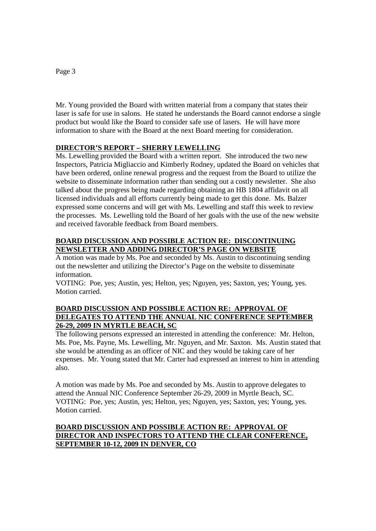# Mr. Young provided the Board with written material from a company that states their laser is safe for use in salons. He stated he understands the Board cannot endorse a single product but would like the Board to consider safe use of lasers. He will have more information to share with the Board at the next Board meeting for consideration.

## **DIRECTOR'S REPORT – SHERRY LEWELLING**

Ms. Lewelling provided the Board with a written report. She introduced the two new Inspectors, Patricia Migliaccio and Kimberly Rodney, updated the Board on vehicles that have been ordered, online renewal progress and the request from the Board to utilize the website to disseminate information rather than sending out a costly newsletter. She also talked about the progress being made regarding obtaining an HB 1804 affidavit on all licensed individuals and all efforts currently being made to get this done. Ms. Balzer expressed some concerns and will get with Ms. Lewelling and staff this week to review the processes. Ms. Lewelling told the Board of her goals with the use of the new website and received favorable feedback from Board members.

## **BOARD DISCUSSION AND POSSIBLE ACTION RE: DISCONTINUING NEWSLETTER AND ADDING DIRECTOR'S PAGE ON WEBSITE**

A motion was made by Ms. Poe and seconded by Ms. Austin to discontinuing sending out the newsletter and utilizing the Director's Page on the website to disseminate information.

VOTING: Poe, yes; Austin, yes; Helton, yes; Nguyen, yes; Saxton, yes; Young, yes. Motion carried.

## **BOARD DISCUSSION AND POSSIBLE ACTION RE: APPROVAL OF DELEGATES TO ATTEND THE ANNUAL NIC CONFERENCE SEPTEMBER 26-29, 2009 IN MYRTLE BEACH, SC**

The following persons expressed an interested in attending the conference: Mr. Helton, Ms. Poe, Ms. Payne, Ms. Lewelling, Mr. Nguyen, and Mr. Saxton. Ms. Austin stated that she would be attending as an officer of NIC and they would be taking care of her expenses. Mr. Young stated that Mr. Carter had expressed an interest to him in attending also.

A motion was made by Ms. Poe and seconded by Ms. Austin to approve delegates to attend the Annual NIC Conference September 26-29, 2009 in Myrtle Beach, SC. VOTING: Poe, yes; Austin, yes; Helton, yes; Nguyen, yes; Saxton, yes; Young, yes. Motion carried.

# **BOARD DISCUSSION AND POSSIBLE ACTION RE: APPROVAL OF DIRECTOR AND INSPECTORS TO ATTEND THE CLEAR CONFERENCE, SEPTEMBER 10-12, 2009 IN DENVER, CO**

### Page 3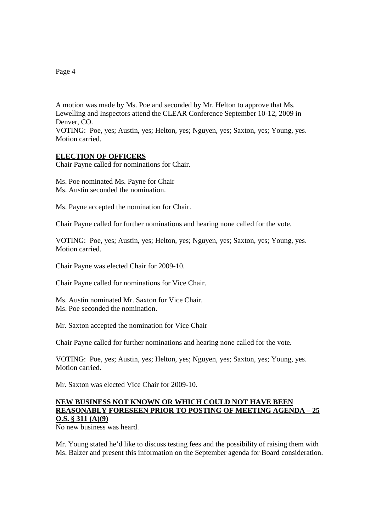Page 4

A motion was made by Ms. Poe and seconded by Mr. Helton to approve that Ms. Lewelling and Inspectors attend the CLEAR Conference September 10-12, 2009 in Denver, CO. VOTING: Poe, yes; Austin, yes; Helton, yes; Nguyen, yes; Saxton, yes; Young, yes. Motion carried.

### **ELECTION OF OFFICERS**

Chair Payne called for nominations for Chair.

Ms. Poe nominated Ms. Payne for Chair Ms. Austin seconded the nomination.

Ms. Payne accepted the nomination for Chair.

Chair Payne called for further nominations and hearing none called for the vote.

VOTING: Poe, yes; Austin, yes; Helton, yes; Nguyen, yes; Saxton, yes; Young, yes. Motion carried.

Chair Payne was elected Chair for 2009-10.

Chair Payne called for nominations for Vice Chair.

Ms. Austin nominated Mr. Saxton for Vice Chair. Ms. Poe seconded the nomination.

Mr. Saxton accepted the nomination for Vice Chair

Chair Payne called for further nominations and hearing none called for the vote.

VOTING: Poe, yes; Austin, yes; Helton, yes; Nguyen, yes; Saxton, yes; Young, yes. Motion carried.

Mr. Saxton was elected Vice Chair for 2009-10.

### **NEW BUSINESS NOT KNOWN OR WHICH COULD NOT HAVE BEEN REASONABLY FORESEEN PRIOR TO POSTING OF MEETING AGENDA – 25 O.S. § 311 (A)(9)**

No new business was heard.

Mr. Young stated he'd like to discuss testing fees and the possibility of raising them with Ms. Balzer and present this information on the September agenda for Board consideration.